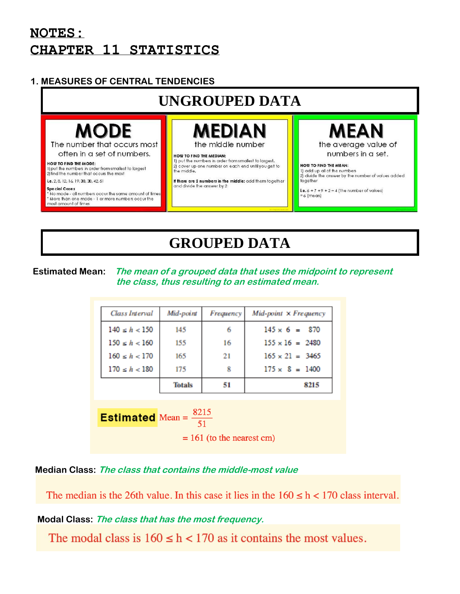## **NOTES: CHAPTER 11 STATISTICS**

## **1. MEASURES OF CENTRAL TENDENCIES**

# **UNGROUPED DATA**

# **MODE**

The number that occurs most often in a set of numbers.

#### HOW TO FIND THE MODE:

1) put the numbers in order from smallest to largest 2) find the number that occurs the most i.e. 2, 8, 12, 16, 19, 30, 30, 42, 51

Special Cases No mode - all numbers occur the same amount of time \* More than one mode - 1 or more numbers occur the most amount of times

the middle number

#### HOW TO FIND THE MEDIAN: 1) put the numbers in order from smallest to largest. 2) cover up one number on each end until you get to<br>the middle.

If there are 2 numbers in the middle: add them together and divide the answer by 2

**MEAN** the average value of

numbers in a set.

#### HOW TO FIND THE MEAN: 1) add up all of the numbers 2) divide the answer by the number of values added together

i.e.  $6 + 7 + 9 + 2 \div 4$  (the number of values)  $= 6$  (mean)

# **GROUPED DATA**

#### **Estimated Mean: The mean of a grouped data that uses the midpoint to represent the class, thus resulting to an estimated mean.**

| Class Interval    | Mid-point     | Frequency | $Mid$ -point $\times$ Frequency |
|-------------------|---------------|-----------|---------------------------------|
| $140 \le h < 150$ | 145           | 6         | $145 \times 6 = 870$            |
| $150 \le h < 160$ | 155           | 16        | $155 \times 16 = 2480$          |
| $160 \le h < 170$ | 165           | 21        | $165 \times 21 = 3465$          |
| $170 \le h < 180$ | 175           | 8         | $175 \times 8 = 1400$           |
|                   | <b>Totals</b> | 51        | 8215                            |

**Estimated** Mean =  $\frac{8215}{51}$ 

 $= 161$  (to the nearest cm)

## **Median Class: The class that contains the middle-most value**

The median is the 26th value. In this case it lies in the  $160 \le h \le 170$  class interval.

## **Modal Class: The class that has the most frequency.**

The modal class is  $160 \le h < 170$  as it contains the most values.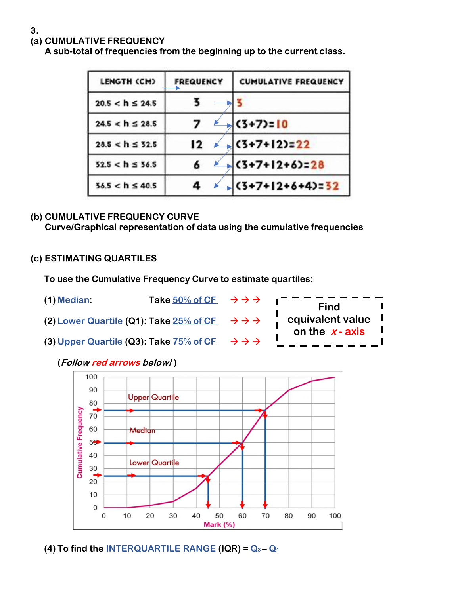### **(a) CUMULATIVE FREQUENCY**

**A sub-total of frequencies from the beginning up to the current class.**

| LENGTH (CM)          | <b>FREQUENCY</b> | <b>CUMULATIVE FREQUENCY</b> |
|----------------------|------------------|-----------------------------|
| $20.5 < h \le 24.5$  |                  |                             |
| $24.5 < h \le 28.5$  |                  | $(3+7)=10$                  |
| $28.5 < h \leq 52.5$ | 12               | $(3+7+12)=22$               |
| $52.5 < h \le 56.5$  |                  | $(3+7+12+6)=28$             |
| $56.5 < h \le 40.5$  |                  | $(3+7+12+6+4)=32$           |

#### **(b) CUMULATIVE FREQUENCY CURVE Curve/Graphical representation of data using the cumulative frequencies**

#### **(c) ESTIMATING QUARTILES**

 **To use the Cumulative Frequency Curve to estimate quartiles:**



#### **(Follow red arrows below! )**



**(4) To find the INTERQUARTILE RANGE (IQR) = Q<sup>3</sup> – Q<sup>1</sup>**

**3.**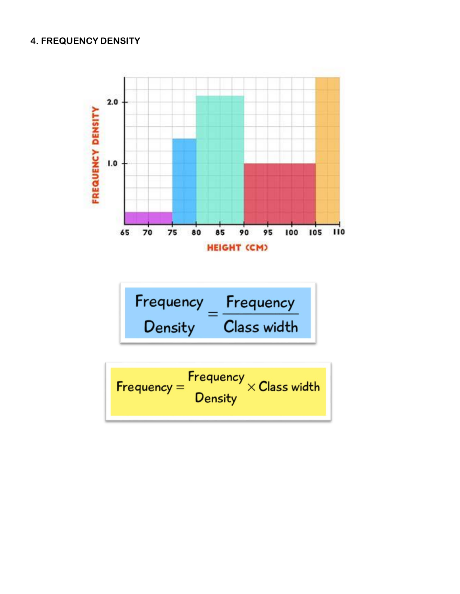#### **4. FREQUENCY DENSITY**



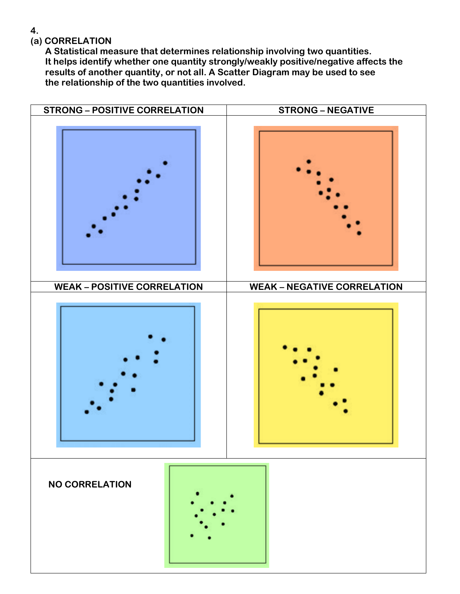**4.** 

### **(a) CORRELATION**

 **A Statistical measure that determines relationship involving two quantities. It helps identify whether one quantity strongly/weakly positive/negative affects the results of another quantity, or not all. A Scatter Diagram may be used to see the relationship of the two quantities involved.**